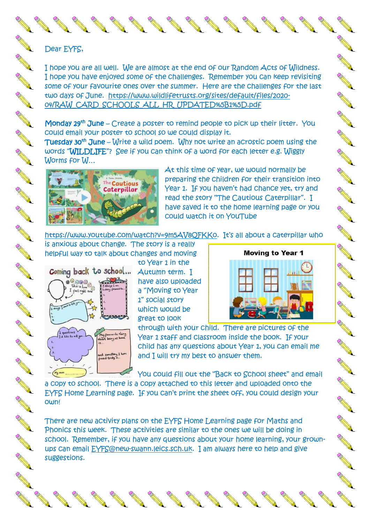Dear EYFS,

I hope you are all well. We are almost at the end of our Random Acts of Wildness. I hope you have enjoyed some of the challenges. Remember you can keep revisiting some of your favourite ones over the summer. Here are the challenges for the last two days of June. [https://www.wildlifetrusts.org/sites/default/files/2020-](https://www.wildlifetrusts.org/sites/default/files/2020-04/RAW_CARD_SCHOOLS_ALL_HR_UPDATED%5B1%5D.pdf) [04/RAW\\_CARD\\_SCHOOLS\\_ALL\\_HR\\_UPDATED%5B1%5D.pdf](https://www.wildlifetrusts.org/sites/default/files/2020-04/RAW_CARD_SCHOOLS_ALL_HR_UPDATED%5B1%5D.pdf)

Monday 29<sup>th</sup> June – Create a poster to remind people to pick up their litter. You could email your poster to school so we could display it.

**Tuesday 30<sup>th</sup> June** – Write a wild poem. Why not write an acrostic poem using the words "WILDLIFE"? See if you can think of a word for each letter e.g. Wiggly Worms for W…



At this time of year, we would normally be preparing the children for their transition into Year 1. If you haven't had chance yet, try and read the story "The Cautious Caterpillar". I have saved it to the home learning page or you could watch it on YouTube

[https://www.youtube.com/watch?v=9m5AV8QFKKo.](https://www.youtube.com/watch?v=9m5AV8QFKKo) It's all about a caterpillar who

is anxious about change. The story is a really helpful way to talk about changes and moving



to Year 1 in the Autumn term. I have also uploaded a "Moving to Year 1" social story which would be great to look



AND TO BE A STRONG TO ANY

**RANCISCO CONTROLLER** 

**RANCISCO CONTROLLER** 

**ANTICOLLECTION** 

A Maria

A March 18

No recent of the contract of the

through with your child. There are pictures of the Year 1 staff and classroom inside the book. If your child has any questions about Year 1, you can email me and I will try my best to answer them.

You could fill out the "Back to School sheet" and email

a copy to school. There is a copy attached to this letter and uploaded onto the EYFS Home Learning page. If you can't print the sheet off, you could design your own!

There are new activity plans on the EYFS Home Learning page for Maths and Phonics this week. These activities are similar to the ones we will be doing in school. Remember, if you have any questions about your home learning, your grownups can email [EYFS@new-swann.leics.sch.uk.](mailto:EYFS@new-swann.leics.sch.uk) I am always here to help and give suggestions.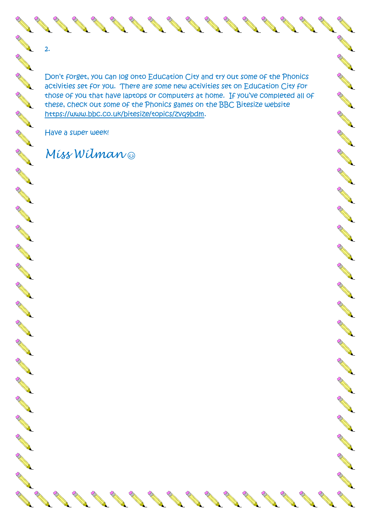AND TO A CHARGE

No. of Canada and

RICATION OF STRAIGHT

Rochester Republica

RESERVE

AND 1

Rochester Band

REAL A

Romando Barcelona

RANT COMMANDS

AN 1

Don't forget, you can log onto Education City and try out some of the Phonics activities set for you. There are some new activities set on Education City for those of you that have laptops or computers at home. If you've completed all of these, check out some of the Phonics games on the BBC Bitesize website [https://www.bbc.co.uk/bitesize/topics/zvq9bdm.](https://www.bbc.co.uk/bitesize/topics/zvq9bdm)

No. 18 of the Contract of the Contract of the Contract of The Contract of The Contract of The Contract of The

No. 18 of the Contract of the Contract of the Contract of the Contract of The Contract of The Contract of The Contract of The Contract of The Contract of The Contract of The Contract of The Contract of The Contract of The

Row Barnet

No.

Rochester Republica

ROW COMPANY

RANT AND

**AND ROWSER** 

Row Company of Company of

AN REGISTER

Rochester Republica

No. 1899

AND TO BE

**RANTING COMMAND** 

**CALL REPORT** 

No Cardinal Report

RA REA

**ANTICATION** 

**RANTACIONES** 

**CONTROLLER** 

**CONTROLLER** 

A A R

A March

Control R

A March

No recent of

Contractor of

RANT R

**RANT** 

A Maria

A Maria

CONTROLL BY

AND RO

AND TO

No Cardinal Red

Contract of the

A March

No. of Canada and Canada and Canada and Canada and Canada and Canada and Canada and Canada and Canada and Canada and Canada and Canada and Canada and Canada and Canada and Canada and Canada and Canada and Canada and Canada

**All Contracts** 

North Carpenter

No. of Canada and Canada and Canada and Canada and Canada and Canada and Canada and Canada and Canada and Canada and Canada and Canada and Canada and Canada and Canada and Canada and Canada and Canada and Canada and Canada

RAND COMMANDS

Have a super week!

ROSE COMPANY

No.

RO COMMANDER

No. 1999

2.

## *Miss Wilman*